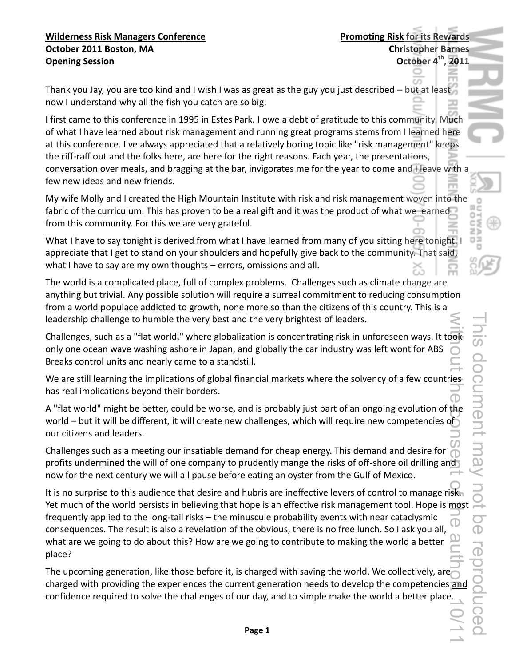Thank you Jay, you are too kind and I wish I was as great as the guy you just described – but at least now I understand why all the fish you catch are so big.

I first came to this conference in 1995 in Estes Park. I owe a debt of gratitude to this community. Much of what I have learned about risk management and running great programs stems from I learned here at this conference. I've always appreciated that a relatively boring topic like "risk management" keeps the riff-raff out and the folks here, are here for the right reasons. Each year, the presentations, conversation over meals, and bragging at the bar, invigorates me for the year to come and I leave with a few new ideas and new friends.

My wife Molly and I created the High Mountain Institute with risk and risk management woven into the fabric of the curriculum. This has proven to be a real gift and it was the product of what we learned from this community. For this we are very grateful.

What I have to say tonight is derived from what I have learned from many of you sitting here tonight. I appreciate that I get to stand on your shoulders and hopefully give back to the community. That said, what I have to say are my own thoughts - errors, omissions and all.

The world is a complicated place, full of complex problems. Challenges such as climate change are anything but trivial. Any possible solution will require a surreal commitment to reducing consumption from a world populace addicted to growth, none more so than the citizens of this country. This is a leadership challenge to humble the very best and the very brightest of leaders.

Challenges, such as a "flat world," where globalization is concentrating risk in unforeseen ways. It took only one ocean wave washing ashore in Japan, and globally the car industry was left wont for ABS Breaks control units and nearly came to a standstill.

We are still learning the implications of global financial markets where the solvency of a few countries has real implications beyond their borders.

A "flat world" might be better, could be worse, and is probably just part of an ongoing evolution of the world – but it will be different, it will create new challenges, which will require new competencies of our citizens and leaders.

Challenges such as a meeting our insatiable demand for cheap energy. This demand and desire for profits undermined the will of one company to prudently mange the risks of off-shore oil drilling and now for the next century we will all pause before eating an oyster from the Gulf of Mexico.

It is no surprise to this audience that desire and hubris are ineffective levers of control to manage risk. Yet much of the world persists in believing that hope is an effective risk management tool. Hope is most frequently applied to the long-tail risks – the minuscule probability events with near cataclysmic consequences. The result is also a revelation of the obvious, there is no free lunch. So I ask you all, what are we going to do about this? How are we going to contribute to making the world a better place? without and the consent of the author. 10/11

The upcoming generation, like those before it, is charged with saving the world. We collectively, are charged with providing the experiences the current generation needs to develop the competencies and confidence required to solve the challenges of our day, and to simple make the world a better place.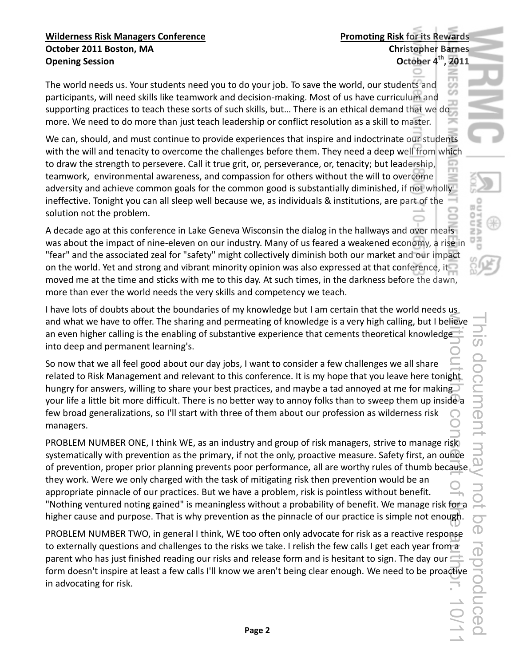The world needs us. Your students need you to do your job. To save the world, our students and participants, will need skills like teamwork and decision-making. Most of us have curriculum and supporting practices to teach these sorts of such skills, but... There is an ethical demand that we do more. We need to do more than just teach leadership or conflict resolution as a skill to master.

We can, should, and must continue to provide experiences that inspire and indoctrinate our students with the will and tenacity to overcome the challenges before them. They need a deep well from which to draw the strength to persevere. Call it true grit, or, perseverance, or, tenacity; but leadership, teamwork, environmental awareness, and compassion for others without the will to overcome adversity and achieve common goals for the common good is substantially diminished, if not wholly ineffective. Tonight you can all sleep well because we, as individuals & institutions, are part of the solution not the problem.

A decade ago at this conference in Lake Geneva Wisconsin the dialog in the hallways and over meals was about the impact of nine-eleven on our industry. Many of us feared a weakened economy, a rise in "fear" and the associated zeal for "safety" might collectively diminish both our market and our impact on the world. Yet and strong and vibrant minority opinion was also expressed at that conference, it moved me at the time and sticks with me to this day. At such times, in the darkness before the dawn, more than ever the world needs the very skills and competency we teach.

I have lots of doubts about the boundaries of my knowledge but I am certain that the world needs us and what we have to offer. The sharing and permeating of knowledge is a very high calling, but I believe an even higher calling is the enabling of substantive experience that cements theoretical knowledge into deep and permanent learning's.

So now that we all feel good about our day jobs, I want to consider a few challenges we all share related to Risk Management and relevant to this conference. It is my hope that you leave here tonight hungry for answers, willing to share your best practices, and maybe a tad annoyed at me for making your life a little bit more difficult. There is no better way to annoy folks than to sweep them up inside a few broad generalizations, so I'll start with three of them about our profession as wilderness risk managers.

PROBLEM NUMBER ONE, I think WE, as an industry and group of risk managers, strive to manage risk systematically with prevention as the primary, if not the only, proactive measure. Safety first, an ounce of prevention, proper prior planning prevents poor performance, all are worthy rules of thumb because. they work. Were we only charged with the task of mitigating risk then prevention would be an appropriate pinnacle of our practices. But we have a problem, risk is pointless without benefit. "Nothing ventured noting gained" is meaningless without a probability of benefit. We manage risk for a higher cause and purpose. That is why prevention as the pinnacle of our practice is simple not enough. WithiTOUT站IPPa COIS Gelast Of the aspection of the author. 10/11

PROBLEM NUMBER TWO, in general I think, WE too often only advocate for risk as a reactive response to externally questions and challenges to the risks we take. I relish the few calls I get each year from a parent who has just finished reading our risks and release form and is hesitant to sign. The day our form doesn't inspire at least a few calls I'll know we aren't being clear enough. We need to be proactive in advocating for risk.

ES<br>DZ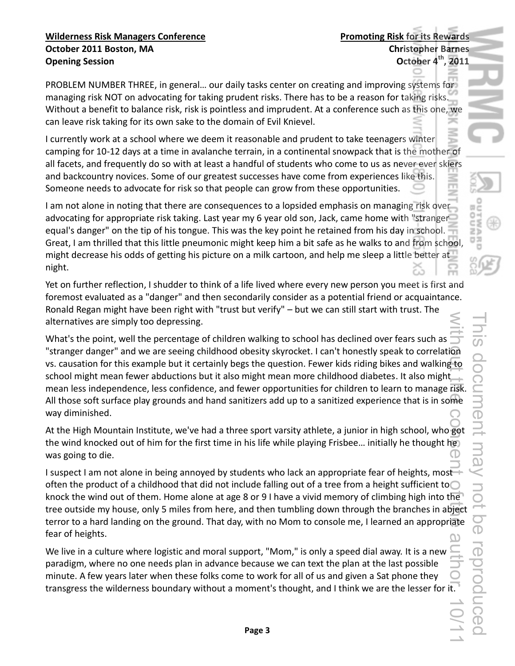PROBLEM NUMBER THREE, in general... our daily tasks center on creating and improving systems for managing risk NOT on advocating for taking prudent risks. There has to be a reason for taking risks. Without a benefit to balance risk, risk is pointless and imprudent. At a conference such as this one, we can leave risk taking for its own sake to the domain of Evil Knievel.

I currently work at a school where we deem it reasonable and prudent to take teenagers winter camping for 10-12 days at a time in avalanche terrain, in a continental snowpack that is the mother of all facets, and frequently do so with at least a handful of students who come to us as never ever skiers and backcountry novices. Some of our greatest successes have come from experiences like this. Someone needs to advocate for risk so that people can grow from these opportunities.

I am not alone in noting that there are consequences to a lopsided emphasis on managing risk over advocating for appropriate risk taking. Last year my 6 year old son, Jack, came home with "stranger" equal's danger" on the tip of his tongue. This was the key point he retained from his day in school. Great, I am thrilled that this little pneumonic might keep him a bit safe as he walks to and from school, might decrease his odds of getting his picture on a milk cartoon, and help me sleep a little better at " night.

Yet on further reflection, I shudder to think of a life lived where every new person you meet is first and foremost evaluated as a "danger" and then secondarily consider as a potential friend or acquaintance. Ronald Regan might have been right with "trust but verify" - but we can still start with trust. The alternatives are simply too depressing.

What's the point, well the percentage of children walking to school has declined over fears such as "stranger danger" and we are seeing childhood obesity skyrocket. I can't honestly speak to correlation vs. causation for this example but it certainly begs the question. Fewer kids riding bikes and walking to school might mean fewer abductions but it also might mean more childhood diabetes. It also might mean less independence, less confidence, and fewer opportunities for children to learn to manage risk. All those soft surface play grounds and hand sanitizers add up to a sanitized experience that is in some way diminished. With Grief the Computer of the author. 10/11

At the High Mountain Institute, we've had a three sport varsity athlete, a junior in high school, who got the wind knocked out of him for the first time in his life while playing Frisbee... initially he thought he was going to die.

I suspect I am not alone in being annoyed by students who lack an appropriate fear of heights, most often the product of a childhood that did not include falling out of a tree from a height sufficient to  $\bigcirc$ knock the wind out of them. Home alone at age 8 or 9 I have a vivid memory of climbing high into the tree outside my house, only 5 miles from here, and then tumbling down through the branches in abject terror to a hard landing on the ground. That day, with no Mom to console me, I learned an appropriate fear of heights.

We live in a culture where logistic and moral support, "Mom," is only a speed dial away. It is a new paradigm, where no one needs plan in advance because we can text the plan at the last possible minute. A few years later when these folks come to work for all of us and given a Sat phone they transgress the wilderness boundary without a moment's thought, and I think we are the lesser for it. **NARD**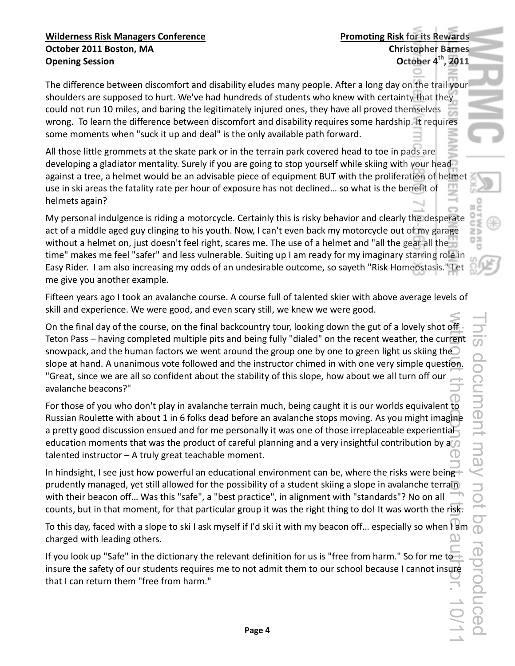The difference between discomfort and disability eludes many people. After a long day on the trail your shoulders are supposed to hurt. We've had hundreds of students who knew with certainty that they could not run 10 miles, and baring the legitimately injured ones, they have all proved themselves wrong. To learn the difference between discomfort and disability requires some hardship. It requires some moments when "suck it up and deal" is the only available path forward.

All those little grommets at the skate park or in the terrain park covered head to toe in pads are developing a gladiator mentality. Surely if you are going to stop yourself while skiing with your head against a tree, a helmet would be an advisable piece of equipment BUT with the proliferation of helmet use in ski areas the fatality rate per hour of exposure has not declined... so what is the benefit of helmets again?

My personal indulgence is riding a motorcycle. Certainly this is risky behavior and clearly the desperate act of a middle aged guy clinging to his youth. Now, I can't even back my motorcycle out of my garage without a helmet on, just doesn't feel right, scares me. The use of a helmet and "all the gear all the time" makes me feel "safer" and less vulnerable. Suiting up I am ready for my imaginary starring role in Easy Rider. I am also increasing my odds of an undesirable outcome, so sayeth "Risk Homeostasis." Let me give you another example.

Fifteen years ago I took an avalanche course. A course full of talented skier with above average levels of skill and experience. We were good, and even scary still, we knew we were good.

On the final day of the course, on the final backcountry tour, looking down the gut of a lovely shot off Teton Pass – having completed multiple pits and being fully "dialed" on the recent weather, the current snowpack, and the human factors we went around the group one by one to green light us skiing the slope at hand. A unanimous vote followed and the instructor chimed in with one very simple question. "Great, since we are all so confident about the stability of this slope, how about we all turn off our avalanche beacons?"

For those of you who don't play in avalanche terrain much, being caught it is our worlds equivalent to Russian Roulette with about 1 in 6 folks dead before an avalanche stops moving. As you might imagine a pretty good discussion ensued and for me personally it was one of those irreplaceable experiential education moments that was the product of careful planning and a very insightful contribution by a talented instructor  $-$  A truly great teachable moment.

In hindsight, I see just how powerful an educational environment can be, where the risks were being. prudently managed, yet still allowed for the possibility of a student skiing a slope in avalanche terrain with their beacon off... Was this "safe", a "best practice", in alignment with "standards"? No on all counts, but in that moment, for that particular group it was the right thing to do! It was worth the risk.

To this day, faced with a slope to ski I ask myself if I'd ski it with my beacon off... especially so when I am charged with leading others.

If you look up "Safe" in the dictionary the relevant definition for us is "free from harm." So for me to insure the safety of our students requires me to not admit them to our school because I cannot insure that I can return them "free from harm."

 $\Xi$  )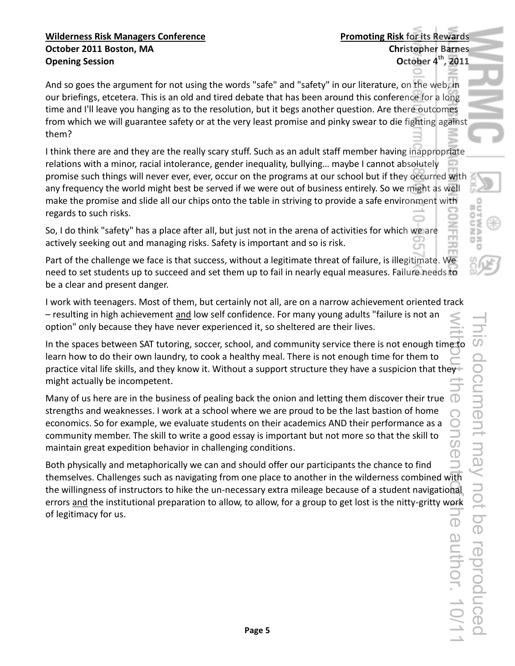And so goes the argument for not using the words "safe" and "safety" in our literature, on the web, in our briefings, etcetera. This is an old and tired debate that has been around this conference for a long time and I'll leave you hanging as to the resolution, but it begs another question. Are there outcomes from which we will guarantee safety or at the very least promise and pinky swear to die fighting against them?

I think there are and they are the really scary stuff. Such as an adult staff member having inappropriate relations with a minor, racial intolerance, gender inequality, bullying... maybe I cannot absolutely promise such things will never ever, ever, occur on the programs at our school but if they occurred with any frequency the world might best be served if we were out of business entirely. So we might as well make the promise and slide all our chips onto the table in striving to provide a safe environment with regards to such risks.

So, I do think "safety" has a place after all, but just not in the arena of activities for which we are actively seeking out and managing risks. Safety is important and so is risk.

Part of the challenge we face is that success, without a legitimate threat of failure, is illegitimate. We need to set students up to succeed and set them up to fail in nearly equal measures. Failure needs to be a clear and present danger.

I work with teenagers. Most of them, but certainly not all, are on a narrow achievement oriented track - resulting in high achievement and low self confidence. For many young adults "failure is not an option" only because they have never experienced it, so sheltered are their lives.

In the spaces between SAT tutoring, soccer, school, and community service there is not enough time to learn how to do their own laundry, to cook a healthy meal. There is not enough time for them to practice vital life skills, and they know it. Without a support structure they have a suspicion that they! might actually be incompetent.

Many of us here are in the business of pealing back the onion and letting them discover their true strengths and weaknesses. I work at a school where we are proud to be the last bastion of home economics. So for example, we evaluate students on their academics AND their performance as a community member. The skill to write a good essay is important but not more so that the skill to maintain great expedition behavior in challenging conditions.

Both physically and metaphorically we can and should offer our participants the chance to find themselves. Challenges such as navigating from one place to another in the wilderness combined with the willingness of instructors to hike the un-necessary extra mileage because of a student navigational errors and the institutional preparation to allow, to allow, for a group to get lost is the nitty-gritty work of legitimacy for us.

閖 Ó c zБ 림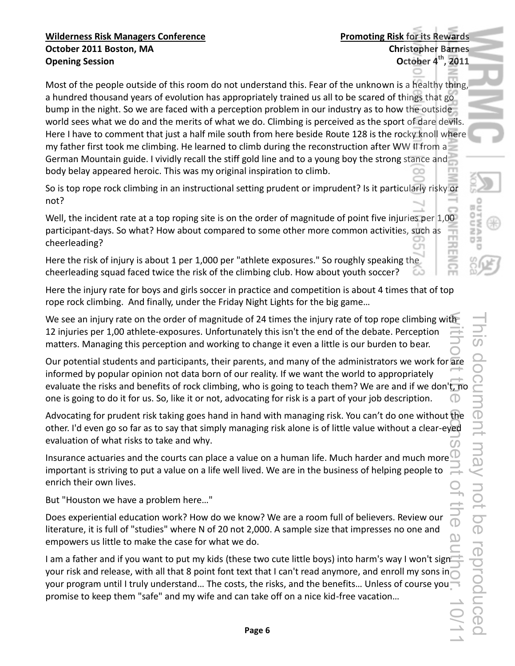Most of the people outside of this room do not understand this. Fear of the unknown is a healthy thing, a hundred thousand years of evolution has appropriately trained us all to be scared of things that go bump in the night. So we are faced with a perception problem in our industry as to how the outside world sees what we do and the merits of what we do. Climbing is perceived as the sport of dare devils. Here I have to comment that just a half mile south from here beside Route 128 is the rocky knoll where my father first took me climbing. He learned to climb during the reconstruction after WW II from a German Mountain guide. I vividly recall the stiff gold line and to a young boy the strong stance and body belay appeared heroic. This was my original inspiration to climb.

So is top rope rock climbing in an instructional setting prudent or imprudent? Is it particularly risky or not?

Well, the incident rate at a top roping site is on the order of magnitude of point five injuries per 1,00 participant-days. So what? How about compared to some other more common activities, such as cheerleading?

Here the risk of injury is about 1 per 1,000 per "athlete exposures." So roughly speaking the cheerleading squad faced twice the risk of the climbing club. How about youth soccer?

Here the injury rate for boys and girls soccer in practice and competition is about 4 times that of top rope rock climbing. And finally, under the Friday Night Lights for the big game...

We see an injury rate on the order of magnitude of 24 times the injury rate of top rope climbing with 12 injuries per 1,00 athlete-exposures. Unfortunately this isn't the end of the debate. Perception matters. Managing this perception and working to change it even a little is our burden to bear.

Our potential students and participants, their parents, and many of the administrators we work for are informed by popular opinion not data born of our reality. If we want the world to appropriately evaluate the risks and benefits of rock climbing, who is going to teach them? We are and if we don't, no one is going to do it for us. So, like it or not, advocating for risk is a part of your job description.

Advocating for prudent risk taking goes hand in hand with managing risk. You can't do one without the other. I'd even go so far as to say that simply managing risk alone is of little value without a clear-eyed evaluation of what risks to take and why.

Insurance actuaries and the courts can place a value on a human life. Much harder and much more important is striving to put a value on a life well lived. We are in the business of helping people to enrich their own lives.

But "Houston we have a problem here..."

Does experiential education work? How do we know? We are a room full of believers. Review our literature, it is full of "studies" where N of 20 not 2,000. A sample size that impresses no one and empowers us little to make the case for what we do.

I am a father and if you want to put my kids (these two cute little boys) into harm's way I won't sign your risk and release, with all that 8 point font text that I can't read anymore, and enroll my sons in your program until I truly understand... The costs, the risks, and the benefits... Unless of course you promise to keep them "safe" and my wife and can take off on a nice kid-free vacation...

Z) 림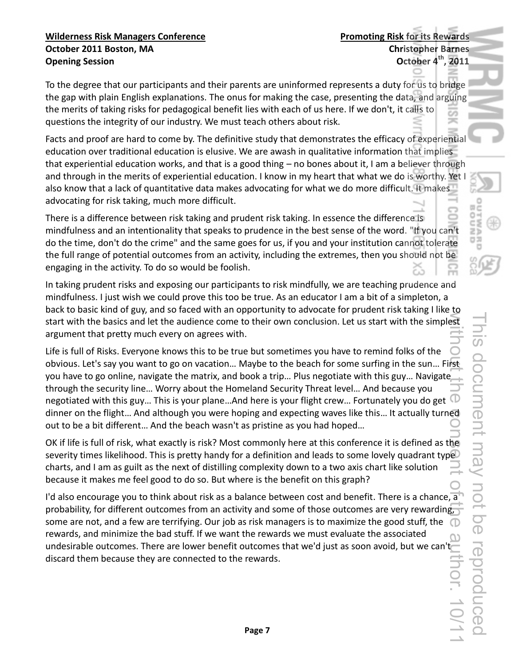To the degree that our participants and their parents are uninformed represents a duty for us to bridge the gap with plain English explanations. The onus for making the case, presenting the data, and arguing the merits of taking risks for pedagogical benefit lies with each of us here. If we don't, it calls to questions the integrity of our industry. We must teach others about risk.

Facts and proof are hard to come by. The definitive study that demonstrates the efficacy of experiential education over traditional education is elusive. We are awash in qualitative information that implies that experiential education works, and that is a good thing – no bones about it, I am a believer through and through in the merits of experiential education. I know in my heart that what we do is worthy. Yet I also know that a lack of quantitative data makes advocating for what we do more difficult. It makes advocating for risk taking, much more difficult.

There is a difference between risk taking and prudent risk taking. In essence the difference is mindfulness and an intentionality that speaks to prudence in the best sense of the word. "If you can't do the time, don't do the crime" and the same goes for us, if you and your institution cannot tolerate the full range of potential outcomes from an activity, including the extremes, then you should not be engaging in the activity. To do so would be foolish.

In taking prudent risks and exposing our participants to risk mindfully, we are teaching prudence and mindfulness. I just wish we could prove this too be true. As an educator I am a bit of a simpleton, a back to basic kind of guy, and so faced with an opportunity to advocate for prudent risk taking I like to start with the basics and let the audience come to their own conclusion. Let us start with the simplest argument that pretty much every on agrees with.

Life is full of Risks. Everyone knows this to be true but sometimes you have to remind folks of the obvious. Let's say you want to go on vacation... Maybe to the beach for some surfing in the sun... First you have to go online, navigate the matrix, and book a trip... Plus negotiate with this guy... Navigate through the security line... Worry about the Homeland Security Threat level... And because you negotiated with this guy... This is your plane...And here is your flight crew... Fortunately you do get  $\mathbb{C}$ dinner on the flight... And although you were hoping and expecting waves like this... It actually turned out to be a bit different... And the beach wasn't as pristine as you had hoped...

OK if life is full of risk, what exactly is risk? Most commonly here at this conference it is defined as the severity times likelihood. This is pretty handy for a definition and leads to some lovely quadrant type charts, and I am as guilt as the next of distilling complexity down to a two axis chart like solution because it makes me feel good to do so. But where is the benefit on this graph?

I'd also encourage you to think about risk as a balance between cost and benefit. There is a chance, a probability, for different outcomes from an activity and some of those outcomes are very rewarding, some are not, and a few are terrifying. Our job as risk managers is to maximize the good stuff, the  $\Box$ rewards, and minimize the bad stuff. If we want the rewards we must evaluate the associated undesirable outcomes. There are lower benefit outcomes that we'd just as soon avoid, but we can't discard them because they are connected to the rewards.

ωë

Z) 모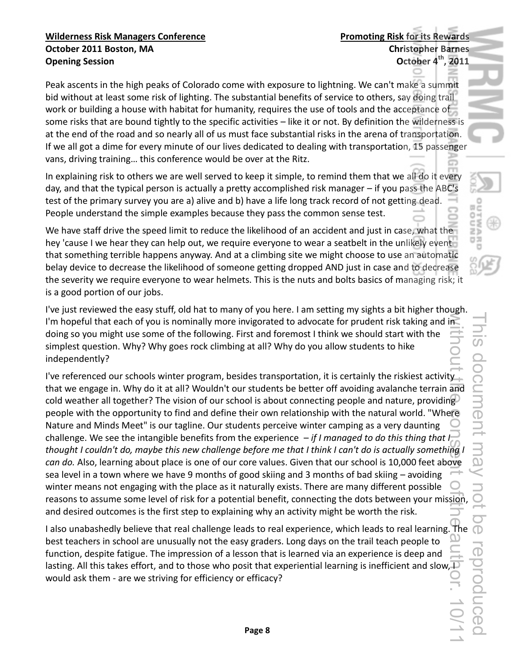Peak ascents in the high peaks of Colorado come with exposure to lightning. We can't make a summit bid without at least some risk of lighting. The substantial benefits of service to others, say doing trail work or building a house with habitat for humanity, requires the use of tools and the acceptance of some risks that are bound tightly to the specific activities - like it or not. By definition the wilderness is at the end of the road and so nearly all of us must face substantial risks in the arena of transportation. If we all got a dime for every minute of our lives dedicated to dealing with transportation, 15 passenger vans, driving training... this conference would be over at the Ritz.

In explaining risk to others we are well served to keep it simple, to remind them that we all do it every day, and that the typical person is actually a pretty accomplished risk manager – if you pass the ABC's test of the primary survey you are a) alive and b) have a life long track record of not getting dead. People understand the simple examples because they pass the common sense test.

We have staff drive the speed limit to reduce the likelihood of an accident and just in case, what the hey 'cause I we hear they can help out, we require everyone to wear a seatbelt in the unlikely event that something terrible happens anyway. And at a climbing site we might choose to use an automatic belay device to decrease the likelihood of someone getting dropped AND just in case and to decrease the severity we require everyone to wear helmets. This is the nuts and bolts basics of managing risk; it is a good portion of our jobs.

I've just reviewed the easy stuff, old hat to many of you here. I am setting my sights a bit higher though. I'm hopeful that each of you is nominally more invigorated to advocate for prudent risk taking and in doing so you might use some of the following. First and foremost I think we should start with the simplest question. Why? Why goes rock climbing at all? Why do you allow students to hike independently?

I've referenced our schools winter program, besides transportation, it is certainly the riskiest activity. that we engage in. Why do it at all? Wouldn't our students be better off avoiding avalanche terrain and cold weather all together? The vision of our school is about connecting people and nature, providing people with the opportunity to find and define their own relationship with the natural world. "Where Nature and Minds Meet" is our tagline. Our students perceive winter camping as a very daunting challenge. We see the intangible benefits from the experience  $-i\mathfrak{f}$  I managed to do this thing that I $$ *thought I couldn't do, maybe this new challenge before me that I think I can't do is actually something I can do. Also, learning about place is one of our core values. Given that our school is 10,000 feet above* sea level in a town where we have 9 months of good skiing and 3 months of bad skiing - avoiding winter means not engaging with the place as it naturally exists. There are many different possible reasons to assume some level of risk for a potential benefit, connecting the dots between your mission, and desired outcomes is the first step to explaining why an activity might be worth the risk. without the consent of the author. 10/11

I also unabashedly believe that real challenge leads to real experience, which leads to real learning. The  $\mathbb O$ best teachers in school are unusually not the easy graders. Long days on the trail teach people to function, despite fatigue. The impression of a lesson that is learned via an experience is deep and lasting. All this takes effort, and to those who posit that experiential learning is inefficient and slow, $\Box$ would ask them - are we striving for efficiency or efficacy?

回口

Z)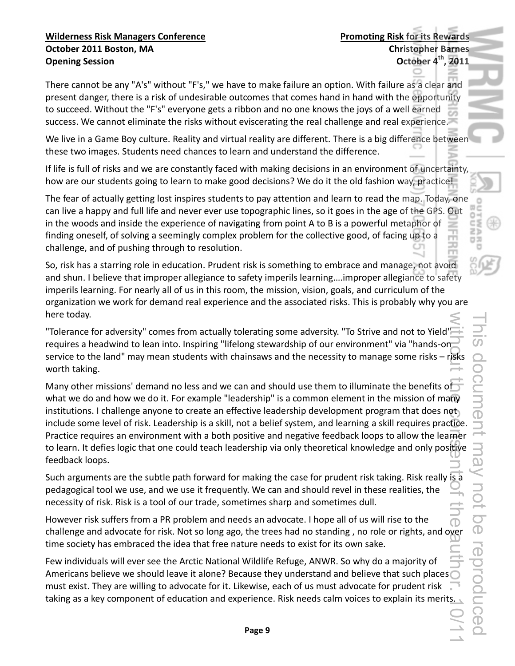There cannot be any "A's" without "F's," we have to make failure an option. With failure as a clear and present danger, there is a risk of undesirable outcomes that comes hand in hand with the opportunity to succeed. Without the "F's" everyone gets a ribbon and no one knows the joys of a well earned success. We cannot eliminate the risks without eviscerating the real challenge and real experience.

We live in a Game Boy culture. Reality and virtual reality are different. There is a big difference between these two images. Students need chances to learn and understand the difference.

If life is full of risks and we are constantly faced with making decisions in an environment of uncertainty, how are our students going to learn to make good decisions? We do it the old fashion way, practice!

The fear of actually getting lost inspires students to pay attention and learn to read the map. Today, one can live a happy and full life and never ever use topographic lines, so it goes in the age of the GPS. Out in the woods and inside the experience of navigating from point A to B is a powerful metaphor of finding oneself, of solving a seemingly complex problem for the collective good, of facing up to a challenge, and of pushing through to resolution.

So, risk has a starring role in education. Prudent risk is something to embrace and manage, not avoid and shun. I believe that improper allegiance to safety imperils learning....improper allegiance to safety imperils learning. For nearly all of us in this room, the mission, vision, goals, and curriculum of the organization we work for demand real experience and the associated risks. This is probably why you are here today.

"Tolerance for adversity" comes from actually tolerating some adversity. "To Strive and not to Yield" requires a headwind to lean into. Inspiring "lifelong stewardship of our environment" via "hands-on service to the land" may mean students with chainsaws and the necessity to manage some risks - risks worth taking.

Many other missions' demand no less and we can and should use them to illuminate the benefits of what we do and how we do it. For example "leadership" is a common element in the mission of many institutions. I challenge anyone to create an effective leadership development program that does not include some level of risk. Leadership is a skill, not a belief system, and learning a skill requires practice. Practice requires an environment with a both positive and negative feedback loops to allow the learner to learn. It defies logic that one could teach leadership via only theoretical knowledge and only positive feedback loops. without the consent of the consent of the consent of the consent of the consent of the consent of the consent of  $\sim$ 

Such arguments are the subtle path forward for making the case for prudent risk taking. Risk really is a pedagogical tool we use, and we use it frequently. We can and should revel in these realities, the necessity of risk. Risk is a tool of our trade, sometimes sharp and sometimes dull.

However risk suffers from a PR problem and needs an advocate. I hope all of us will rise to the challenge and advocate for risk. Not so long ago, the trees had no standing, no role or rights, and over time society has embraced the idea that free nature needs to exist for its own sake.

Few individuals will ever see the Arctic National Wildlife Refuge, ANWR. So why do a majority of Americans believe we should leave it alone? Because they understand and believe that such places must exist. They are willing to advocate for it. Likewise, each of us must advocate for prudent risk taking as a key component of education and experience. Risk needs calm voices to explain its merits. Z) ロス